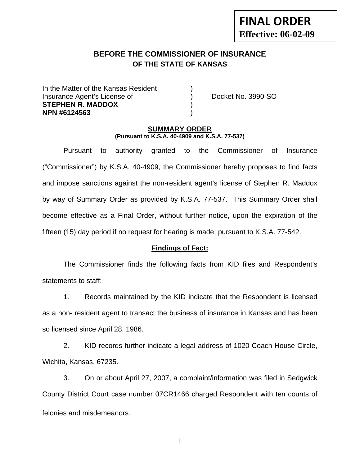# **FINAL ORDER Effective: 06-02-09**

# **BEFORE THE COMMISSIONER OF INSURANCE OF THE STATE OF KANSAS**

In the Matter of the Kansas Resident Insurance Agent's License of ) Docket No. 3990-SO **STEPHEN R. MADDOX** ) **NPN #6124563** )

#### **SUMMARY ORDER (Pursuant to K.S.A. 40-4909 and K.S.A. 77-537)**

 Pursuant to authority granted to the Commissioner of Insurance ("Commissioner") by K.S.A. 40-4909, the Commissioner hereby proposes to find facts and impose sanctions against the non-resident agent's license of Stephen R. Maddox by way of Summary Order as provided by K.S.A. 77-537. This Summary Order shall become effective as a Final Order, without further notice, upon the expiration of the fifteen (15) day period if no request for hearing is made, pursuant to K.S.A. 77-542.

#### **Findings of Fact:**

 The Commissioner finds the following facts from KID files and Respondent's statements to staff:

 1. Records maintained by the KID indicate that the Respondent is licensed as a non- resident agent to transact the business of insurance in Kansas and has been so licensed since April 28, 1986.

 2. KID records further indicate a legal address of 1020 Coach House Circle, Wichita, Kansas, 67235.

 3. On or about April 27, 2007, a complaint/information was filed in Sedgwick County District Court case number 07CR1466 charged Respondent with ten counts of felonies and misdemeanors.

1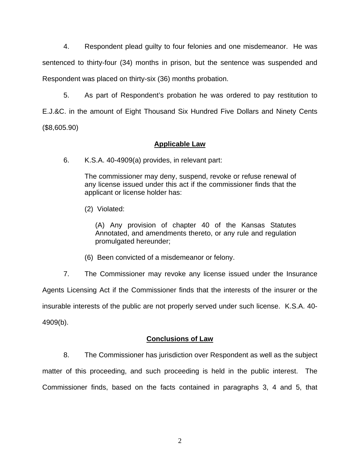4. Respondent plead guilty to four felonies and one misdemeanor. He was sentenced to thirty-four (34) months in prison, but the sentence was suspended and Respondent was placed on thirty-six (36) months probation.

 5. As part of Respondent's probation he was ordered to pay restitution to E.J.&C. in the amount of Eight Thousand Six Hundred Five Dollars and Ninety Cents (\$8,605.90)

## **Applicable Law**

6. K.S.A. 40-4909(a) provides, in relevant part:

The commissioner may deny, suspend, revoke or refuse renewal of any license issued under this act if the commissioner finds that the applicant or license holder has:

(2) Violated:

(A) Any provision of chapter 40 of the Kansas Statutes Annotated, and amendments thereto, or any rule and regulation promulgated hereunder;

(6) Been convicted of a misdemeanor or felony.

 7. The Commissioner may revoke any license issued under the Insurance Agents Licensing Act if the Commissioner finds that the interests of the insurer or the insurable interests of the public are not properly served under such license. K.S.A. 40- 4909(b).

## **Conclusions of Law**

 8. The Commissioner has jurisdiction over Respondent as well as the subject matter of this proceeding, and such proceeding is held in the public interest. The Commissioner finds, based on the facts contained in paragraphs 3, 4 and 5, that

2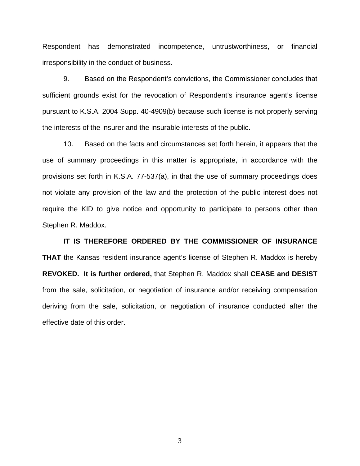Respondent has demonstrated incompetence, untrustworthiness, or financial irresponsibility in the conduct of business.

 9. Based on the Respondent's convictions, the Commissioner concludes that sufficient grounds exist for the revocation of Respondent's insurance agent's license pursuant to K.S.A. 2004 Supp. 40-4909(b) because such license is not properly serving the interests of the insurer and the insurable interests of the public.

 10. Based on the facts and circumstances set forth herein, it appears that the use of summary proceedings in this matter is appropriate, in accordance with the provisions set forth in K.S.A. 77-537(a), in that the use of summary proceedings does not violate any provision of the law and the protection of the public interest does not require the KID to give notice and opportunity to participate to persons other than Stephen R. Maddox.

 **IT IS THEREFORE ORDERED BY THE COMMISSIONER OF INSURANCE THAT** the Kansas resident insurance agent's license of Stephen R. Maddox is hereby **REVOKED. It is further ordered,** that Stephen R. Maddox shall **CEASE and DESIST** from the sale, solicitation, or negotiation of insurance and/or receiving compensation deriving from the sale, solicitation, or negotiation of insurance conducted after the effective date of this order.

3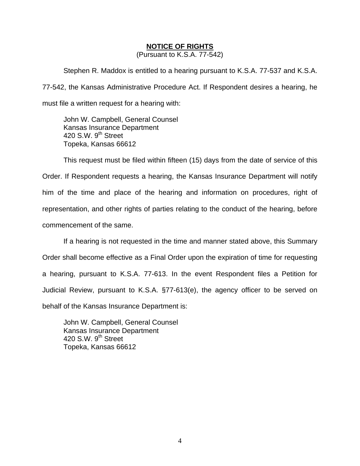### **NOTICE OF RIGHTS**

(Pursuant to K.S.A. 77-542)

Stephen R. Maddox is entitled to a hearing pursuant to K.S.A. 77-537 and K.S.A. 77-542, the Kansas Administrative Procedure Act. If Respondent desires a hearing, he must file a written request for a hearing with:

 John W. Campbell, General Counsel Kansas Insurance Department 420 S.W.  $9<sup>th</sup>$  Street Topeka, Kansas 66612

This request must be filed within fifteen (15) days from the date of service of this Order. If Respondent requests a hearing, the Kansas Insurance Department will notify him of the time and place of the hearing and information on procedures, right of representation, and other rights of parties relating to the conduct of the hearing, before commencement of the same.

If a hearing is not requested in the time and manner stated above, this Summary Order shall become effective as a Final Order upon the expiration of time for requesting a hearing, pursuant to K.S.A. 77-613. In the event Respondent files a Petition for Judicial Review, pursuant to K.S.A. §77-613(e), the agency officer to be served on behalf of the Kansas Insurance Department is:

 John W. Campbell, General Counsel Kansas Insurance Department 420 S.W. 9<sup>th</sup> Street Topeka, Kansas 66612